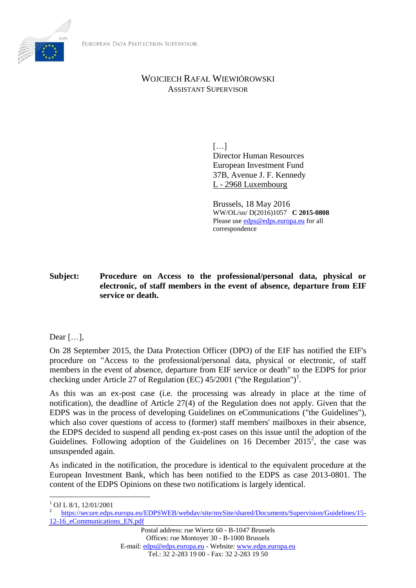

# WOJCIECH RAFAŁ WIEWIÓROWSKI ASSISTANT SUPERVISOR

[…] Director Human Resources European Investment Fund 37B, Avenue J. F. Kennedy L - 2968 Luxembourg

Brussels, 18 May 2016 WW/OL/sn/ D(2016)1057 **C 2015-0808** Please us[e edps@edps.europa.eu](mailto:edps@edps.europa.eu) for all correspondence

**Subject: Procedure on Access to the professional/personal data, physical or electronic, of staff members in the event of absence, departure from EIF service or death.**

Dear […],

On 28 September 2015, the Data Protection Officer (DPO) of the EIF has notified the EIF's procedure on "Access to the professional/personal data, physical or electronic, of staff members in the event of absence, departure from EIF service or death" to the EDPS for prior checking under Article 27 of Regulation (EC)  $45/2001$  ("the Regulation")<sup>1</sup>.

As this was an ex-post case (i.e. the processing was already in place at the time of notification), the deadline of Article 27(4) of the Regulation does not apply. Given that the EDPS was in the process of developing Guidelines on eCommunications ("the Guidelines"), which also cover questions of access to (former) staff members' mailboxes in their absence, the EDPS decided to suspend all pending ex-post cases on this issue until the adoption of the Guidelines. Following adoption of the Guidelines on 16 December 2015<sup>2</sup>, the case was unsuspended again.

As indicated in the notification, the procedure is identical to the equivalent procedure at the European Investment Bank, which has been notified to the EDPS as case 2013-0801. The content of the EDPS Opinions on these two notifications is largely identical.

 $\overline{a}$ 

<sup>1</sup> OJ L 8/1, 12/01/2001

<sup>2</sup> [https://secure.edps.europa.eu/EDPSWEB/webdav/site/mySite/shared/Documents/Supervision/Guidelines/15-](https://secure.edps.europa.eu/EDPSWEB/webdav/site/mySite/shared/Documents/Supervision/Guidelines/15-12-16_eCommunications_EN.pdf) 12-16 eCommunications EN.pdf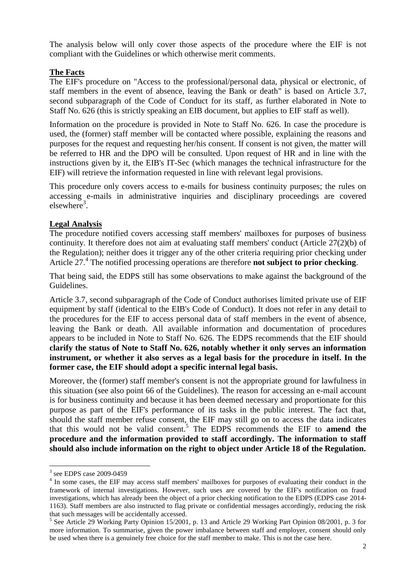The analysis below will only cover those aspects of the procedure where the EIF is not compliant with the Guidelines or which otherwise merit comments.

## **The Facts**

The EIF's procedure on "Access to the professional/personal data, physical or electronic, of staff members in the event of absence, leaving the Bank or death" is based on Article 3.7, second subparagraph of the Code of Conduct for its staff, as further elaborated in Note to Staff No. 626 (this is strictly speaking an EIB document, but applies to EIF staff as well).

Information on the procedure is provided in Note to Staff No. 626. In case the procedure is used, the (former) staff member will be contacted where possible, explaining the reasons and purposes for the request and requesting her/his consent. If consent is not given, the matter will be referred to HR and the DPO will be consulted. Upon request of HR and in line with the instructions given by it, the EIB's IT-Sec (which manages the technical infrastructure for the EIF) will retrieve the information requested in line with relevant legal provisions.

This procedure only covers access to e-mails for business continuity purposes; the rules on accessing e-mails in administrative inquiries and disciplinary proceedings are covered  $elsewhere<sup>3</sup>$ .

### **Legal Analysis**

The procedure notified covers accessing staff members' mailboxes for purposes of business continuity. It therefore does not aim at evaluating staff members' conduct (Article 27(2)(b) of the Regulation); neither does it trigger any of the other criteria requiring prior checking under Article 27.<sup>4</sup> The notified processing operations are therefore **not subject to prior checking**.

That being said, the EDPS still has some observations to make against the background of the Guidelines.

Article 3.7, second subparagraph of the Code of Conduct authorises limited private use of EIF equipment by staff (identical to the EIB's Code of Conduct). It does not refer in any detail to the procedures for the EIF to access personal data of staff members in the event of absence, leaving the Bank or death. All available information and documentation of procedures appears to be included in Note to Staff No. 626. The EDPS recommends that the EIF should **clarify the status of Note to Staff No. 626, notably whether it only serves an information instrument, or whether it also serves as a legal basis for the procedure in itself. In the former case, the EIF should adopt a specific internal legal basis.**

Moreover, the (former) staff member's consent is not the appropriate ground for lawfulness in this situation (see also point 66 of the Guidelines). The reason for accessing an e-mail account is for business continuity and because it has been deemed necessary and proportionate for this purpose as part of the EIF's performance of its tasks in the public interest. The fact that, should the staff member refuse consent, the EIF may still go on to access the data indicates that this would not be valid consent.<sup>5</sup> The EDPS recommends the EIF to **amend the procedure and the information provided to staff accordingly. The information to staff should also include information on the right to object under Article 18 of the Regulation.**

 $\overline{a}$ 

<sup>3</sup> see EDPS case 2009-0459

<sup>&</sup>lt;sup>4</sup> In some cases, the EIF may access staff members' mailboxes for purposes of evaluating their conduct in the framework of internal investigations. However, such uses are covered by the EIF's notification on fraud investigations, which has already been the object of a prior checking notification to the EDPS (EDPS case 2014- 1163). Staff members are also instructed to flag private or confidential messages accordingly, reducing the risk that such messages will be accidentally accessed.

<sup>&</sup>lt;sup>5</sup> See Article 29 Working Party Opinion 15/2001, p. 13 and Article 29 Working Part Opinion 08/2001, p. 3 for more information. To summarise, given the power imbalance between staff and employer, consent should only be used when there is a genuinely free choice for the staff member to make. This is not the case here.